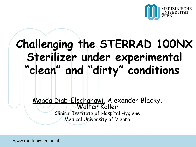

# **Challenging the STERRAD 100NX Sterilizer under experimental "clean" and "dirty" conditions**

Magda Diab-Elschahawi, Alexander Blacky, Walter Koller Clinical Institute of Hospital Hygiene Medical University of Vienna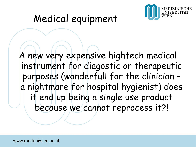

# Medical equipment

A new very expensive hightech medical instrument for diagostic or therapeutic purposes (wonderfull for the clinician – a nightmare for hospital hygienist) does it end up being a single use product because we cannot reprocess it?!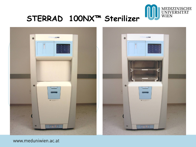

## **STERRAD100NX™ Sterilizer**

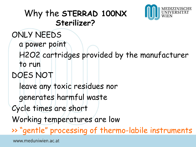### Why the **STERRAD 100NX Sterilizer?**



ONLY NEEDS a power point H2O2 cartridges provided by the manufacturer to run DOES NOT leave any toxic residues nor generates harmful waste Cycle times are short Working temperatures are low >> "gentle" processing of thermo-labile instrumentswww.meduniwien.ac.at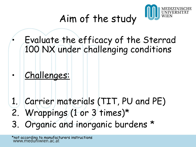

# Aim of the study

• Evaluate the efficacy of the Sterrad 100 NX under challenging conditions

- Challenges:
- 1. Carrier materials (TIT, PU and PE)
- 2. Wrappings (1 or 3 times)\*
- 3. Organic and inorganic burdens \*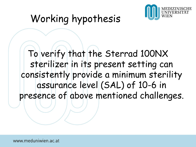

# Working hypothesis

## To verify that the Sterrad 100NX sterilizer in its present setting can consistently provide a minimum sterility assurance level (SAL) of 10-6 in presence of above mentioned challenges.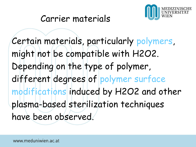

Certain materials, particularly polymers, might not be compatible with H2O2. Depending on the type of polymer, different degrees of polymer surface modifications induced by H2O2 and other plasma-based sterilization techniques have been observed.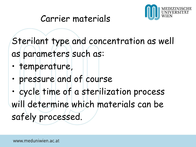

Sterilant type and concentration as well as parameters such as:

- temperature,
- pressure and of course
- cycle time of a sterilization process will determine which materials can be safely processed.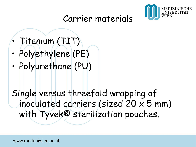

- Titanium (TIT)
- Polyethylene (PE)
- Polyurethane (PU)

Single versus threefold wrapping of inoculated carriers (sized 20 x 5 mm) with Tyvek® sterilization pouches.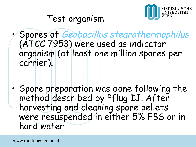

### Test organism

• Spores of Geobacillus stearothermophilus (ATCC 7953) were used as indicator organism (at least one million spores per carrier).

• Spore preparation was done following the method described by Pflug IJ. After harvesting and cleaning spore pellets were resuspended in either 5% FBS or in hard water.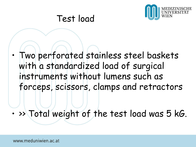

#### Test load

• Two perforated stainless steel baskets with a standardized load of surgical instruments without lumens such as forceps, scissors, clamps and retractors

• >> Total weight of the test load was 5 kG.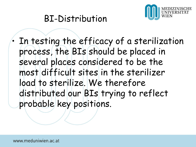

### BI-Distribution

• In testing the efficacy of a sterilization process, the BIs should be placed in several places considered to be the most difficult sites in the sterilizer load to sterilize. We therefore distributed our BIs trying to reflect probable key positions.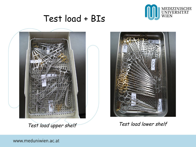

#### Test load + BIs



Test load upper shelf Test load lower shelf

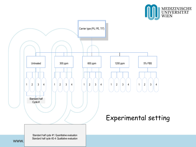



WWW.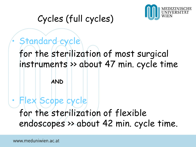

## Cycles (full cycles)

**AND**

## Standard cycle for the sterilization of most surgical instruments >> about 47 min. cycle time

## • Flex Scope cycle for the sterilization of flexible endoscopes >> about 42 min. cycle time.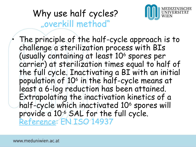## Why use half cycles? "overkill method"



The principle of the half-cycle approach is to challenge a sterilization process with BIs (usually containing at least 10<sup>6</sup> spores per carrier) at sterilization times equal to half of the full cycle. Inactivating a BI with an initial population of 10<sup>6</sup> in the half-cycle means at least a 6-log reduction has been attained. Extrapolating the inactivation kinetics of a half-cycle which inactivated 10<sup>6</sup> spores will provide a 10-6 SAL for the full cycle. Reference: EN ISO 14937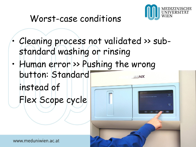

## Worst-case conditions

- Cleaning process not validated >> substandard washing or rinsing
- Human error >> Pushing the wrong button: Standard **CONIX** instead of Flex Scope cycle

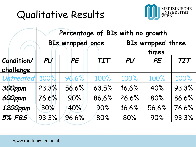# Qualitative Results



|                         | Percentage of BIs with no growth |                         |            |                            |       |            |  |
|-------------------------|----------------------------------|-------------------------|------------|----------------------------|-------|------------|--|
|                         |                                  | <b>BIs wrapped once</b> |            | BIs wrapped three<br>times |       |            |  |
| Condition/<br>challenge | PU                               | PE                      | <b>TIT</b> | PU                         | PE    | <b>TIT</b> |  |
| Untreated               | 100%                             | 96.6%                   | 100%       | 100%                       | 100%  | 100%       |  |
| 300ppm                  | 23.3%                            | 56.6%                   | 63.5%      | 16.6%                      | 40%   | 93.3%      |  |
| 600ppm                  | 76.6%                            | 90%                     | 86.6%      | 26.6%                      | 80%   | 86.6%      |  |
| 1200ppm                 | 30%                              | 40%                     | 90%        | 16.6%                      | 56.6% | 76.6%      |  |
| <b>5% FBS</b>           | 93.3%                            | 96.6%                   | 80%        | 80%                        | 90%   | 93.3%      |  |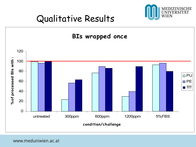

## Qualitative Results

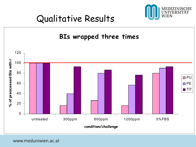

## Qualitative Results

#### **BIs wrapped three times**

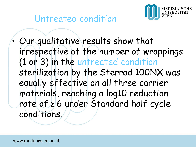



• Our qualitative results show that irrespective of the number of wrappings (1 or 3) in the untreated condition sterilization by the Sterrad 100NX was equally effective on all three carrier materials, reaching a log10 reduction rate of ≥ 6 under Standard half cycle conditions.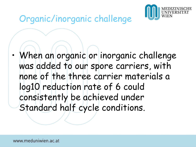

## Organic/inorganic challenge

• When an organic or inorganic challenge was added to our spore carriers, with none of the three carrier materials a log10 reduction rate of 6 could consistently be achieved under Standard half cycle conditions.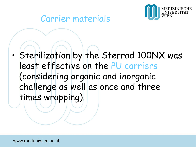

• Sterilization by the Sterrad 100NX was least effective on the PU carriers (considering organic and inorganic challenge as well as once and three times wrapping).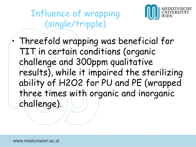Influence of wrapping (single/tripple)



• Threefold wrapping was beneficial for TIT in certain conditions (organic challenge and 300ppm qualitative results), while it impaired the sterilizing ability of H2O2 for PU and PE (wrapped three times with organic and inorganic challenge).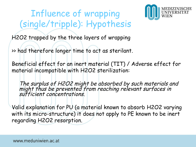## Influence of wrapping (single/tripple): Hypothesis



H2O2 trapped by the three layers of wrapping

>> had therefore longer time to act as sterilant.

Beneficial effect for an inert material (TIT) / Adverse effect for material incompatible with H2O2 sterilization:

The surplus of H2O2 might be absorbed by such materials and might thus be prevented from reaching relevant surfaces in sufficient concentrations.

Valid explanation for PU (a material known to absorb H2O2 varying with its micro-structure) it does not apply to PE known to be inert regarding H2O2 resorption.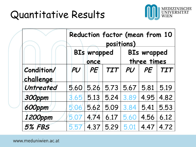

|                         | Reduction factor (mean from 10<br>positions) |                            |            |                                   |      |      |  |
|-------------------------|----------------------------------------------|----------------------------|------------|-----------------------------------|------|------|--|
|                         |                                              | <b>BIs wrapped</b><br>once |            | <b>BIs wrapped</b><br>three times |      |      |  |
| Condition/<br>challenge | PU                                           | PE                         | <b>TIT</b> | PU                                | PE   | TIT  |  |
| Untreated               | 5.60                                         | 5.26                       | 5.73       | 5.67                              | 5.81 | 5.19 |  |
| <b>300ppm</b>           | 3.65                                         | 5.13                       | 5.24       | 3.89                              | 4.95 | 4.82 |  |
| 600ppm                  | 5.06                                         | 5.62                       | 5.09       | 3.84                              | 5.41 | 5.53 |  |
| 1200ppm                 | 5.07                                         | 4.74                       | 6.17       | 5.60                              | 4.56 | 6.12 |  |
| <b>5% FBS</b>           | 5 57                                         | 4.37                       | 5.29       | 5.01                              | 4.47 | 4.72 |  |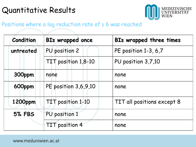#### Quantitative Results



#### Positions where a log reduction rate of ≥6 was reached

| <b>Condition</b> | <b>BIs wrapped once</b> | BIs wrapped three times    |  |  |
|------------------|-------------------------|----------------------------|--|--|
| untreated        | PU position 2           | PE position 1-3, 6,7       |  |  |
|                  | TIT position 1,8-10     | PU position 3,7,10         |  |  |
| 300ppm           | none                    | none                       |  |  |
| 600ppm           | PE position 3,6,9,10    | none                       |  |  |
| 1200ppm          | TIT position 1-10       | TIT all positions except 8 |  |  |
| <b>5% FBS</b>    | PU position 1           | none                       |  |  |
| TIT position 4   |                         | none                       |  |  |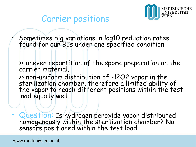

#### Carrier positions

• Sometimes big variations in log10 reduction rates found for our BIs under one specified condition:

>> uneven repartition of the spore preparation on the carrier material.

>> non-uniform distribution of H2O2 vapor in the sterilization chamber, therefore a limited ability of the vapor to reach different positions within the test load equally well.

• Question: Is hydrogen peroxide vapor distributed homogenously within the sterilization chamber? No sensors positioned within the test load.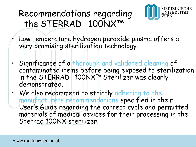## Recommendations regarding the STERRAD®100NX™



- Low temperature hydrogen peroxide plasma offers a very promising sterilization technology.
- Significance of a thorough and validated cleaning of contaminated items before being exposed to sterilization in the STERRAD®100NX™ Sterilizer was clearly demonstrated.
- We also recommend to strictly adhering to the manufacturers recommendations specified in their User's Guide regarding the correct cycle and permitted materials of medical devices for their processing in the Sterrad 100NX sterilizer.